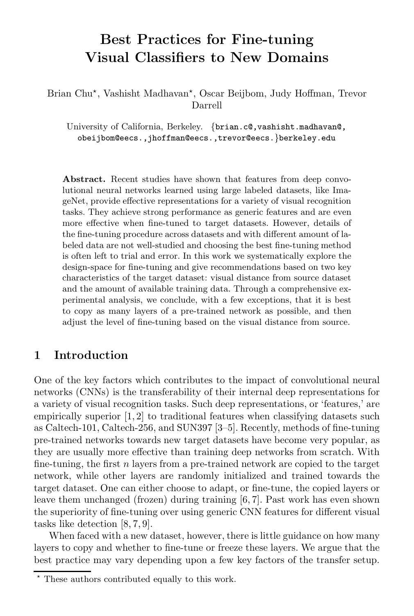# Best Practices for Fine-tuning Visual Classifiers to New Domains

Brian Chu<sup>\*</sup>, Vashisht Madhavan<sup>\*</sup>, Oscar Beijbom, Judy Hoffman, Trevor Darrell

University of California, Berkeley. {brian.c@,vashisht.madhavan@, obeijbom@eecs.,jhoffman@eecs.,trevor@eecs.}berkeley.edu

Abstract. Recent studies have shown that features from deep convolutional neural networks learned using large labeled datasets, like ImageNet, provide effective representations for a variety of visual recognition tasks. They achieve strong performance as generic features and are even more effective when fine-tuned to target datasets. However, details of the fine-tuning procedure across datasets and with different amount of labeled data are not well-studied and choosing the best fine-tuning method is often left to trial and error. In this work we systematically explore the design-space for fine-tuning and give recommendations based on two key characteristics of the target dataset: visual distance from source dataset and the amount of available training data. Through a comprehensive experimental analysis, we conclude, with a few exceptions, that it is best to copy as many layers of a pre-trained network as possible, and then adjust the level of fine-tuning based on the visual distance from source.

## 1 Introduction

One of the key factors which contributes to the impact of convolutional neural networks (CNNs) is the transferability of their internal deep representations for a variety of visual recognition tasks. Such deep representations, or 'features,' are empirically superior  $[1, 2]$  to traditional features when classifying datasets such as Caltech-101, Caltech-256, and SUN397 [3–5]. Recently, methods of fine-tuning pre-trained networks towards new target datasets have become very popular, as they are usually more effective than training deep networks from scratch. With fine-tuning, the first  $n$  layers from a pre-trained network are copied to the target network, while other layers are randomly initialized and trained towards the target dataset. One can either choose to adapt, or fine-tune, the copied layers or leave them unchanged (frozen) during training [6, 7]. Past work has even shown the superiority of fine-tuning over using generic CNN features for different visual tasks like detection [8, 7, 9].

When faced with a new dataset, however, there is little guidance on how many layers to copy and whether to fine-tune or freeze these layers. We argue that the best practice may vary depending upon a few key factors of the transfer setup.

<sup>⋆</sup> These authors contributed equally to this work.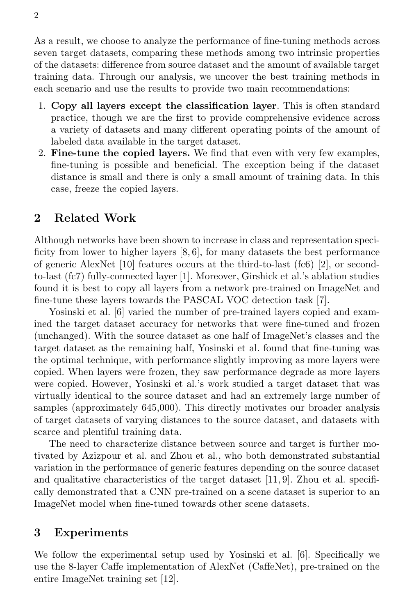As a result, we choose to analyze the performance of fine-tuning methods across seven target datasets, comparing these methods among two intrinsic properties of the datasets: difference from source dataset and the amount of available target training data. Through our analysis, we uncover the best training methods in each scenario and use the results to provide two main recommendations:

- 1. Copy all layers except the classification layer. This is often standard practice, though we are the first to provide comprehensive evidence across a variety of datasets and many different operating points of the amount of labeled data available in the target dataset.
- 2. Fine-tune the copied layers. We find that even with very few examples, fine-tuning is possible and beneficial. The exception being if the dataset distance is small and there is only a small amount of training data. In this case, freeze the copied layers.

### 2 Related Work

Although networks have been shown to increase in class and representation specificity from lower to higher layers [8, 6], for many datasets the best performance of generic AlexNet [10] features occurs at the third-to-last (fc6) [2], or secondto-last (fc7) fully-connected layer [1]. Moreover, Girshick et al.'s ablation studies found it is best to copy all layers from a network pre-trained on ImageNet and fine-tune these layers towards the PASCAL VOC detection task [7].

Yosinski et al. [6] varied the number of pre-trained layers copied and examined the target dataset accuracy for networks that were fine-tuned and frozen (unchanged). With the source dataset as one half of ImageNet's classes and the target dataset as the remaining half, Yosinski et al. found that fine-tuning was the optimal technique, with performance slightly improving as more layers were copied. When layers were frozen, they saw performance degrade as more layers were copied. However, Yosinski et al.'s work studied a target dataset that was virtually identical to the source dataset and had an extremely large number of samples (approximately 645,000). This directly motivates our broader analysis of target datasets of varying distances to the source dataset, and datasets with scarce and plentiful training data.

The need to characterize distance between source and target is further motivated by Azizpour et al. and Zhou et al., who both demonstrated substantial variation in the performance of generic features depending on the source dataset and qualitative characteristics of the target dataset  $[11, 9]$ . Zhou et al. specifically demonstrated that a CNN pre-trained on a scene dataset is superior to an ImageNet model when fine-tuned towards other scene datasets.

#### 3 Experiments

We follow the experimental setup used by Yosinski et al. [6]. Specifically we use the 8-layer Caffe implementation of AlexNet (CaffeNet), pre-trained on the entire ImageNet training set [12].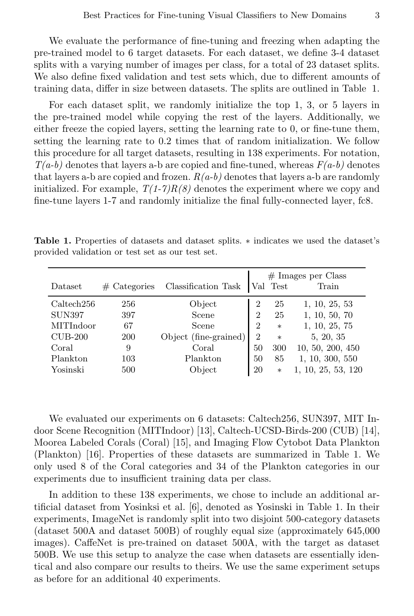We evaluate the performance of fine-tuning and freezing when adapting the pre-trained model to 6 target datasets. For each dataset, we define 3-4 dataset splits with a varying number of images per class, for a total of 23 dataset splits. We also define fixed validation and test sets which, due to different amounts of training data, differ in size between datasets. The splits are outlined in Table 1.

For each dataset split, we randomly initialize the top 1, 3, or 5 layers in the pre-trained model while copying the rest of the layers. Additionally, we either freeze the copied layers, setting the learning rate to 0, or fine-tune them, setting the learning rate to 0.2 times that of random initialization. We follow this procedure for all target datasets, resulting in 138 experiments. For notation,  $T(a-b)$  denotes that layers a-b are copied and fine-tuned, whereas  $F(a-b)$  denotes that layers a-b are copied and frozen.  $R(a-b)$  denotes that layers a-b are randomly initialized. For example,  $T(1-\gamma)R(8)$  denotes the experiment where we copy and fine-tune layers 1-7 and randomly initialize the final fully-connected layer, fc8.

Table 1. Properties of datasets and dataset splits. ∗ indicates we used the dataset's provided validation or test set as our test set.

| Dataset       | $\#$ Categories | Classification Task   | Val            | Test   | $#$ Images per Class<br>Train |
|---------------|-----------------|-----------------------|----------------|--------|-------------------------------|
| Caltech256    | 256             | Object                | 2              | 25     | 1, 10, 25, 53                 |
| <b>SUN397</b> | 397             | Scene                 | $\overline{2}$ | 25     | 1, 10, 50, 70                 |
| MITIndoor     | 67              | Scene                 | $\overline{2}$ | $\ast$ | 1, 10, 25, 75                 |
| $CUB-200$     | <b>200</b>      | Object (fine-grained) | 2              | $\ast$ | 5, 20, 35                     |
| Coral         | 9               | Coral                 | 50             | 300    | 10, 50, 200, 450              |
| Plankton      | 103             | Plankton              | 50             | 85     | 1, 10, 300, 550               |
| Yosinski      | 500             | Object                | 20             | $\ast$ | 1, 10, 25, 53, 120            |

We evaluated our experiments on 6 datasets: Caltech256, SUN397, MIT Indoor Scene Recognition (MITIndoor) [13], Caltech-UCSD-Birds-200 (CUB) [14], Moorea Labeled Corals (Coral) [15], and Imaging Flow Cytobot Data Plankton (Plankton) [16]. Properties of these datasets are summarized in Table 1. We only used 8 of the Coral categories and 34 of the Plankton categories in our experiments due to insufficient training data per class.

In addition to these 138 experiments, we chose to include an additional artificial dataset from Yosinksi et al. [6], denoted as Yosinski in Table 1. In their experiments, ImageNet is randomly split into two disjoint 500-category datasets (dataset 500A and dataset 500B) of roughly equal size (approximately 645,000 images). CaffeNet is pre-trained on dataset 500A, with the target as dataset 500B. We use this setup to analyze the case when datasets are essentially identical and also compare our results to theirs. We use the same experiment setups as before for an additional 40 experiments.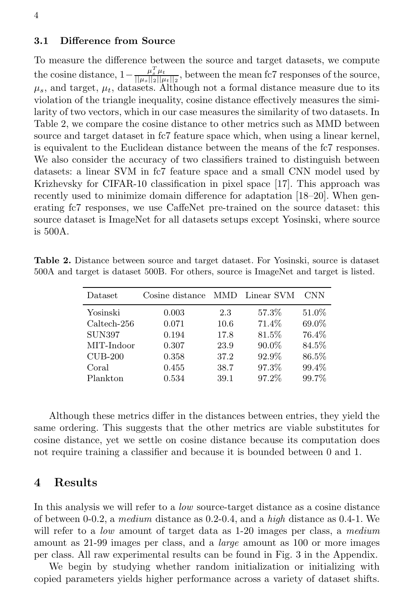#### 3.1 Difference from Source

To measure the difference between the source and target datasets, we compute the cosine distance,  $1 - \frac{\mu_s^T \mu_t}{\|\mu_s\|_{\mathcal{S}}\|\mu_t}$  $\frac{\mu_s}{||\mu_s||_2||\mu_t||_2}$ , between the mean fc7 responses of the source,  $\mu_s$ , and target,  $\mu_t$ , datasets. Although not a formal distance measure due to its violation of the triangle inequality, cosine distance effectively measures the similarity of two vectors, which in our case measures the similarity of two datasets. In Table 2, we compare the cosine distance to other metrics such as MMD between source and target dataset in fc7 feature space which, when using a linear kernel, is equivalent to the Euclidean distance between the means of the fc7 responses. We also consider the accuracy of two classifiers trained to distinguish between datasets: a linear SVM in fc7 feature space and a small CNN model used by Krizhevsky for CIFAR-10 classification in pixel space [17]. This approach was recently used to minimize domain difference for adaptation [18–20]. When generating fc7 responses, we use CaffeNet pre-trained on the source dataset: this source dataset is ImageNet for all datasets setups except Yosinski, where source is 500A.

| Dataset       | Cosine distance | - MMD | Linear SVM | CNN   |
|---------------|-----------------|-------|------------|-------|
| Yosinski      | 0.003           | 2.3   | 57.3%      | 51.0% |
| Caltech-256   | 0.071           | 10.6  | 71.4%      | 69.0% |
| <b>SUN397</b> | 0.194           | 17.8  | 81.5%      | 76.4% |
| MIT-Indoor    | 0.307           | 23.9  | $90.0\%$   | 84.5% |
| $CUB-200$     | 0.358           | 37.2  | 92.9%      | 86.5% |
| Coral         | 0.455           | 38.7  | 97.3%      | 99.4% |
| Plankton      | 0.534           | 39.1  | 97.2%      | 99.7% |

Table 2. Distance between source and target dataset. For Yosinski, source is dataset 500A and target is dataset 500B. For others, source is ImageNet and target is listed.

Although these metrics differ in the distances between entries, they yield the same ordering. This suggests that the other metrics are viable substitutes for cosine distance, yet we settle on cosine distance because its computation does not require training a classifier and because it is bounded between 0 and 1.

#### 4 Results

In this analysis we will refer to a low source-target distance as a cosine distance of between 0-0.2, a medium distance as  $0.2$ -0.4, and a high distance as  $0.4$ -1. We will refer to a *low* amount of target data as 1-20 images per class, a medium amount as 21-99 images per class, and a large amount as 100 or more images per class. All raw experimental results can be found in Fig. 3 in the Appendix.

We begin by studying whether random initialization or initializing with copied parameters yields higher performance across a variety of dataset shifts.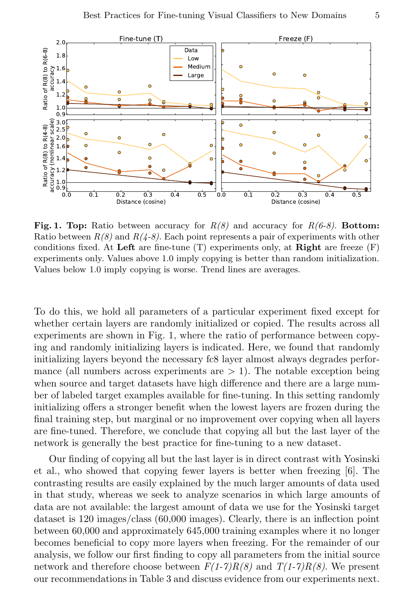

Fig. 1. Top: Ratio between accuracy for  $R(8)$  and accuracy for  $R(6-8)$ . Bottom: Ratio between  $R(8)$  and  $R(4-8)$ . Each point represents a pair of experiments with other conditions fixed. At Left are fine-tune  $(T)$  experiments only, at Right are freeze  $(F)$ experiments only. Values above 1.0 imply copying is better than random initialization. Values below 1.0 imply copying is worse. Trend lines are averages.

To do this, we hold all parameters of a particular experiment fixed except for whether certain layers are randomly initialized or copied. The results across all experiments are shown in Fig. 1, where the ratio of performance between copying and randomly initializing layers is indicated. Here, we found that randomly initializing layers beyond the necessary fc8 layer almost always degrades performance (all numbers across experiments are  $> 1$ ). The notable exception being when source and target datasets have high difference and there are a large number of labeled target examples available for fine-tuning. In this setting randomly initializing offers a stronger benefit when the lowest layers are frozen during the final training step, but marginal or no improvement over copying when all layers are fine-tuned. Therefore, we conclude that copying all but the last layer of the network is generally the best practice for fine-tuning to a new dataset.

Our finding of copying all but the last layer is in direct contrast with Yosinski et al., who showed that copying fewer layers is better when freezing [6]. The contrasting results are easily explained by the much larger amounts of data used in that study, whereas we seek to analyze scenarios in which large amounts of data are not available: the largest amount of data we use for the Yosinski target dataset is 120 images/class (60,000 images). Clearly, there is an inflection point between 60,000 and approximately 645,000 training examples where it no longer becomes beneficial to copy more layers when freezing. For the remainder of our analysis, we follow our first finding to copy all parameters from the initial source network and therefore choose between  $F(1-\gamma)R(8)$  and  $T(1-\gamma)R(8)$ . We present our recommendations in Table 3 and discuss evidence from our experiments next.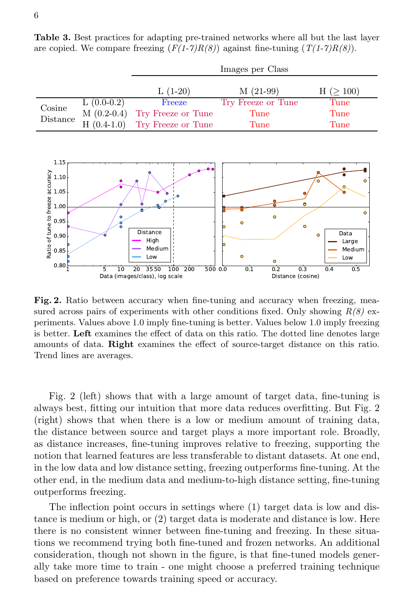|                                                            |               | Images per Class                |                    |           |  |
|------------------------------------------------------------|---------------|---------------------------------|--------------------|-----------|--|
|                                                            |               | $L(1-20)$                       | $M(21-99)$         | H (> 100) |  |
| Cosine<br>$\begin{array}{c} \mathrm{Distance} \end{array}$ | L $(0.0-0.2)$ | Freeze                          | Try Freeze or Tune | Tune      |  |
|                                                            |               | $M(0.2-0.4)$ Try Freeze or Tune | Tune               | Tune      |  |
|                                                            |               | $H(0.4-1.0)$ Try Freeze or Tune | Tune               | Tune      |  |

Table 3. Best practices for adapting pre-trained networks where all but the last layer are copied. We compare freezing  $(F(1-7)R(8))$  against fine-tuning  $(T(1-7)R(8))$ .



Fig. 2. Ratio between accuracy when fine-tuning and accuracy when freezing, measured across pairs of experiments with other conditions fixed. Only showing  $R(8)$  experiments. Values above 1.0 imply fine-tuning is better. Values below 1.0 imply freezing is better. Left examines the effect of data on this ratio. The dotted line denotes large amounts of data. Right examines the effect of source-target distance on this ratio. Trend lines are averages.

Fig. 2 (left) shows that with a large amount of target data, fine-tuning is always best, fitting our intuition that more data reduces overfitting. But Fig. 2 (right) shows that when there is a low or medium amount of training data, the distance between source and target plays a more important role. Broadly, as distance increases, fine-tuning improves relative to freezing, supporting the notion that learned features are less transferable to distant datasets. At one end, in the low data and low distance setting, freezing outperforms fine-tuning. At the other end, in the medium data and medium-to-high distance setting, fine-tuning outperforms freezing.

The inflection point occurs in settings where (1) target data is low and distance is medium or high, or (2) target data is moderate and distance is low. Here there is no consistent winner between fine-tuning and freezing. In these situations we recommend trying both fine-tuned and frozen networks. An additional consideration, though not shown in the figure, is that fine-tuned models generally take more time to train - one might choose a preferred training technique based on preference towards training speed or accuracy.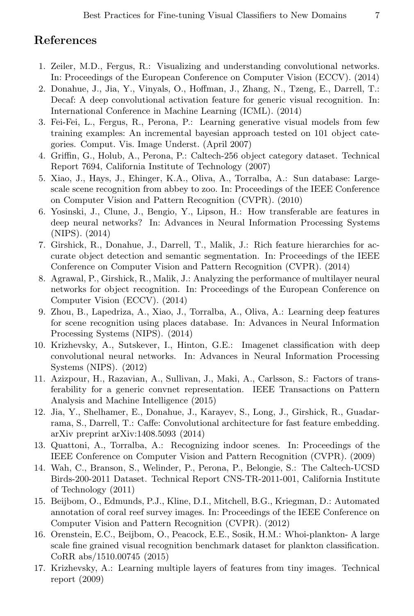## References

- 1. Zeiler, M.D., Fergus, R.: Visualizing and understanding convolutional networks. In: Proceedings of the European Conference on Computer Vision (ECCV). (2014)
- 2. Donahue, J., Jia, Y., Vinyals, O., Hoffman, J., Zhang, N., Tzeng, E., Darrell, T.: Decaf: A deep convolutional activation feature for generic visual recognition. In: International Conference in Machine Learning (ICML). (2014)
- 3. Fei-Fei, L., Fergus, R., Perona, P.: Learning generative visual models from few training examples: An incremental bayesian approach tested on 101 object categories. Comput. Vis. Image Underst. (April 2007)
- 4. Griffin, G., Holub, A., Perona, P.: Caltech-256 object category dataset. Technical Report 7694, California Institute of Technology (2007)
- 5. Xiao, J., Hays, J., Ehinger, K.A., Oliva, A., Torralba, A.: Sun database: Largescale scene recognition from abbey to zoo. In: Proceedings of the IEEE Conference on Computer Vision and Pattern Recognition (CVPR). (2010)
- 6. Yosinski, J., Clune, J., Bengio, Y., Lipson, H.: How transferable are features in deep neural networks? In: Advances in Neural Information Processing Systems (NIPS). (2014)
- 7. Girshick, R., Donahue, J., Darrell, T., Malik, J.: Rich feature hierarchies for accurate object detection and semantic segmentation. In: Proceedings of the IEEE Conference on Computer Vision and Pattern Recognition (CVPR). (2014)
- 8. Agrawal, P., Girshick, R., Malik, J.: Analyzing the performance of multilayer neural networks for object recognition. In: Proceedings of the European Conference on Computer Vision (ECCV). (2014)
- 9. Zhou, B., Lapedriza, A., Xiao, J., Torralba, A., Oliva, A.: Learning deep features for scene recognition using places database. In: Advances in Neural Information Processing Systems (NIPS). (2014)
- 10. Krizhevsky, A., Sutskever, I., Hinton, G.E.: Imagenet classification with deep convolutional neural networks. In: Advances in Neural Information Processing Systems (NIPS). (2012)
- 11. Azizpour, H., Razavian, A., Sullivan, J., Maki, A., Carlsson, S.: Factors of transferability for a generic convnet representation. IEEE Transactions on Pattern Analysis and Machine Intelligence (2015)
- 12. Jia, Y., Shelhamer, E., Donahue, J., Karayev, S., Long, J., Girshick, R., Guadarrama, S., Darrell, T.: Caffe: Convolutional architecture for fast feature embedding. arXiv preprint arXiv:1408.5093 (2014)
- 13. Quattoni, A., Torralba, A.: Recognizing indoor scenes. In: Proceedings of the IEEE Conference on Computer Vision and Pattern Recognition (CVPR). (2009)
- 14. Wah, C., Branson, S., Welinder, P., Perona, P., Belongie, S.: The Caltech-UCSD Birds-200-2011 Dataset. Technical Report CNS-TR-2011-001, California Institute of Technology (2011)
- 15. Beijbom, O., Edmunds, P.J., Kline, D.I., Mitchell, B.G., Kriegman, D.: Automated annotation of coral reef survey images. In: Proceedings of the IEEE Conference on Computer Vision and Pattern Recognition (CVPR). (2012)
- 16. Orenstein, E.C., Beijbom, O., Peacock, E.E., Sosik, H.M.: Whoi-plankton- A large scale fine grained visual recognition benchmark dataset for plankton classification. CoRR abs/1510.00745 (2015)
- 17. Krizhevsky, A.: Learning multiple layers of features from tiny images. Technical report (2009)